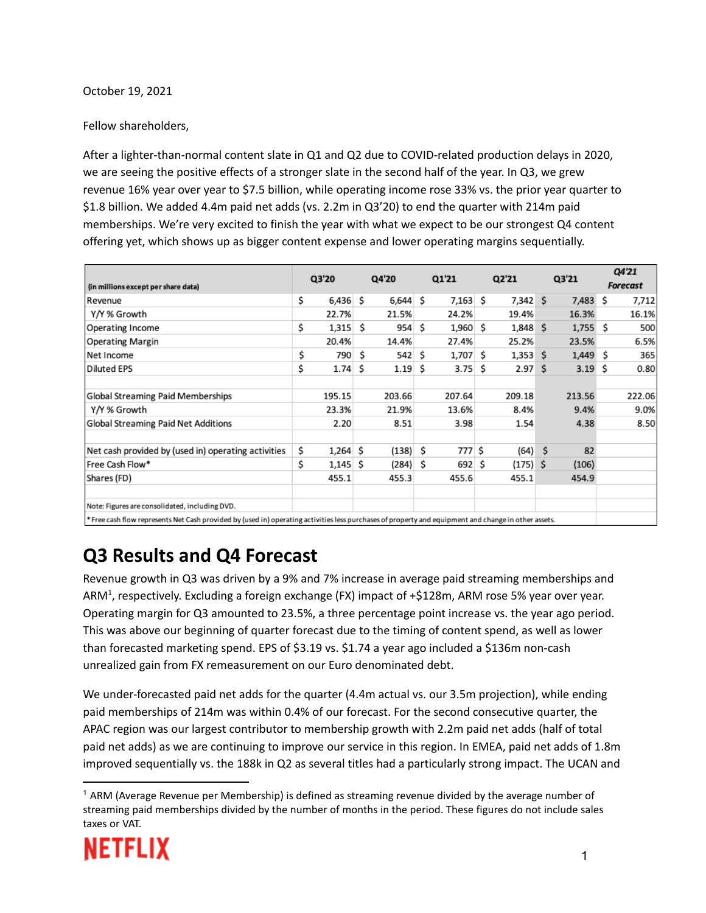October 19, 2021

#### Fellow shareholders,

After a lighter-than-normal content slate in Q1 and Q2 due to COVID-related production delays in 2020, we are seeing the positive effects of a stronger slate in the second half of the year. In Q3, we grew revenue 16% year over year to \$7.5 billion, while operating income rose 33% vs. the prior year quarter to \$1.8 billion. We added 4.4m paid net adds (vs. 2.2m in Q3'20) to end the quarter with 214m paid memberships. We're very excited to finish the year with what we expect to be our strongest Q4 content offering yet, which shows up as bigger content expense and lower operating margins sequentially.

| (in millions except per share data)                                                                                                                  | Q3'20 |            | Q4'20 |            | Q1'21 |            | Q2'21 |                   | Q3'21 |                   | Q4'21<br><b>Forecast</b> |        |  |
|------------------------------------------------------------------------------------------------------------------------------------------------------|-------|------------|-------|------------|-------|------------|-------|-------------------|-------|-------------------|--------------------------|--------|--|
| Revenue                                                                                                                                              | \$    | 6,436      | S     | $6,644$ \$ |       | $7,163$ \$ |       | 7,342 S           |       | 7,483 \$          |                          | 7,712  |  |
| Y/Y % Growth                                                                                                                                         |       | 22.7%      |       | 21.5%      |       | 24.2%      |       | 19.4%             |       | 16.3%             |                          | 16.1%  |  |
| <b>Operating Income</b>                                                                                                                              | \$    | 1,315      | s     | 954        | Ŝ.    | $1,960$ \$ |       | 1,848 \$          |       | $1,755$ \$        |                          | 500    |  |
| <b>Operating Margin</b>                                                                                                                              |       | 20.4%      |       | 14.4%      |       | 27.4%      |       | 25.2%             |       | 23.5%             |                          | 6.5%   |  |
| Net Income                                                                                                                                           | \$    | 790        | Ŝ.    | 542 S      |       | 1,707 \$   |       | $1,353$ \$        |       | $1,449$ \$        |                          | 365    |  |
| <b>Diluted EPS</b>                                                                                                                                   | \$    | 1.74       | s     | 1.19       | S     | 3.75       | S     | 2.97 <sup>5</sup> |       | 3.19 <sub>5</sub> |                          | 0.80   |  |
| <b>Global Streaming Paid Memberships</b>                                                                                                             |       | 195.15     |       | 203.66     |       | 207.64     |       | 209.18            |       | 213.56            |                          | 222.06 |  |
| Y/Y % Growth                                                                                                                                         |       | 23.3%      |       | 21.9%      |       | 13.6%      |       | 8.4%              |       | 9.4%              |                          | 9.0%   |  |
| Global Streaming Paid Net Additions                                                                                                                  |       | 2.20       |       | 8.51       |       | 3.98       |       | 1.54              |       | 4.38              |                          | 8.50   |  |
| Net cash provided by (used in) operating activities                                                                                                  | \$    | $1,264$ \$ |       | (138)      | -S    | 777 \$     |       | $(64)$ \$         |       | 82                |                          |        |  |
| Free Cash Flow*                                                                                                                                      | \$    | 1,145      | S     | $(284)$ \$ |       | 692 S      |       | $(175)$ \$        |       | (106)             |                          |        |  |
| Shares (FD)                                                                                                                                          |       | 455.1      |       | 455.3      |       | 455.6      |       | 455.1             |       | 454.9             |                          |        |  |
| Note: Figures are consolidated, including DVD.                                                                                                       |       |            |       |            |       |            |       |                   |       |                   |                          |        |  |
| * Free cash flow represents Net Cash provided by (used in) operating activities less purchases of property and equipment and change in other assets. |       |            |       |            |       |            |       |                   |       |                   |                          |        |  |

### **Q3 Results and Q4 Forecast**

Revenue growth in Q3 was driven by a 9% and 7% increase in average paid streaming memberships and ARM<sup>1</sup>, respectively. Excluding a foreign exchange (FX) impact of +\$128m, ARM rose 5% year over year. Operating margin for Q3 amounted to 23.5%, a three percentage point increase vs. the year ago period. This was above our beginning of quarter forecast due to the timing of content spend, as well as lower than forecasted marketing spend. EPS of \$3.19 vs. \$1.74 a year ago included a \$136m non-cash unrealized gain from FX remeasurement on our Euro denominated debt.

We under-forecasted paid net adds for the quarter (4.4m actual vs. our 3.5m projection), while ending paid memberships of 214m was within 0.4% of our forecast. For the second consecutive quarter, the APAC region was our largest contributor to membership growth with 2.2m paid net adds (half of total paid net adds) as we are continuing to improve our service in this region. In EMEA, paid net adds of 1.8m improved sequentially vs. the 188k in Q2 as several titles had a particularly strong impact. The UCAN and

 $<sup>1</sup>$  ARM (Average Revenue per Membership) is defined as streaming revenue divided by the average number of</sup> streaming paid memberships divided by the number of months in the period. These figures do not include sales taxes or VAT.

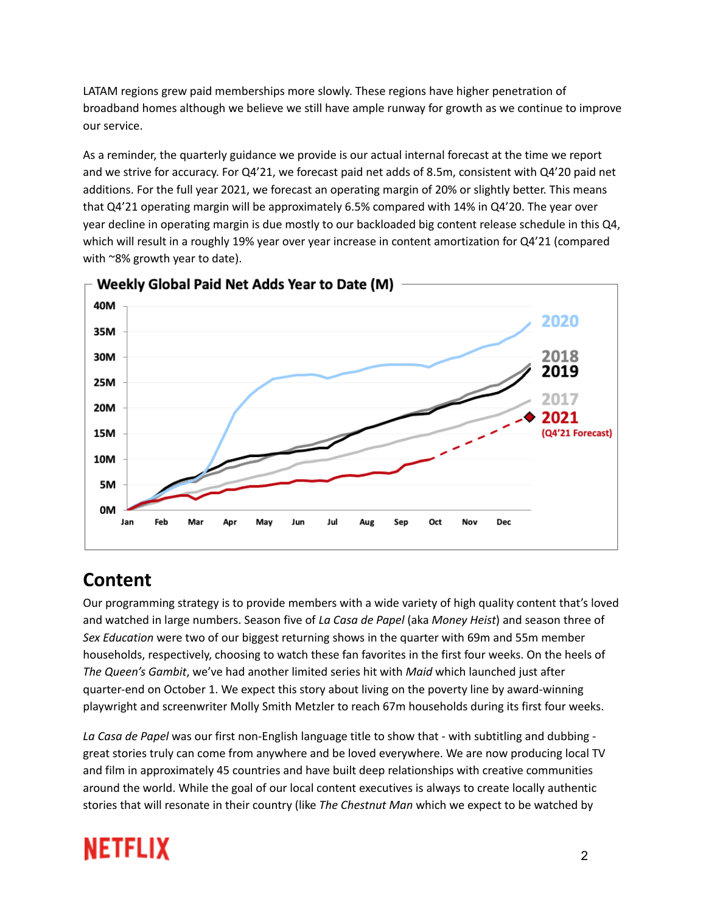LATAM regions grew paid memberships more slowly. These regions have higher penetration of broadband homes although we believe we still have ample runway for growth as we continue to improve our service.

As a reminder, the quarterly guidance we provide is our actual internal forecast at the time we report and we strive for accuracy. For Q4'21, we forecast paid net adds of 8.5m, consistent with Q4'20 paid net additions. For the full year 2021, we forecast an operating margin of 20% or slightly better. This means that Q4'21 operating margin will be approximately 6.5% compared with 14% in Q4'20. The year over year decline in operating margin is due mostly to our backloaded big content release schedule in this Q4, which will result in a roughly 19% year over year increase in content amortization for Q4'21 (compared with ~8% growth year to date).



### **Content**

Our programming strategy is to provide members with a wide variety of high quality content that's loved and watched in large numbers. Season five of *La Casa de Papel* (aka *Money Heist*) and season three of *Sex Education* were two of our biggest returning shows in the quarter with 69m and 55m member households, respectively, choosing to watch these fan favorites in the first four weeks. On the heels of *The Queen's Gambit*, we've had another limited series hit with *Maid* which launched just after quarter-end on October 1. We expect this story about living on the poverty line by award-winning playwright and screenwriter Molly Smith Metzler to reach 67m households during its first four weeks.

*La Casa de Papel* was our first non-English language title to show that - with subtitling and dubbing great stories truly can come from anywhere and be loved everywhere. We are now producing local TV and film in approximately 45 countries and have built deep relationships with creative communities around the world. While the goal of our local content executives is always to create locally authentic stories that will resonate in their country (like *The Chestnut Man* which we expect to be watched by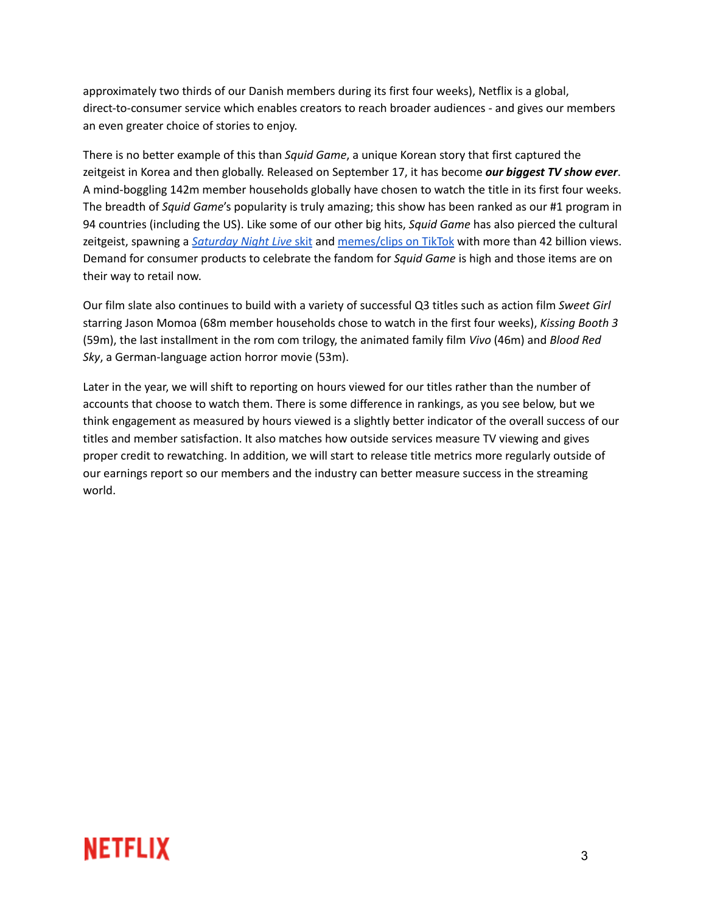approximately two thirds of our Danish members during its first four weeks), Netflix is a global, direct-to-consumer service which enables creators to reach broader audiences - and gives our members an even greater choice of stories to enjoy.

There is no better example of this than *Squid Game*, a unique Korean story that first captured the zeitgeist in Korea and then globally. Released on September 17, it has become *our biggest TV show ever*. A mind-boggling 142m member households globally have chosen to watch the title in its first four weeks. The breadth of *Squid Game*'s popularity is truly amazing; this show has been ranked as our #1 program in 94 countries (including the US). Like some of our other big hits, *Squid Game* has also pierced the cultural zeitgeist, spawning a *[Saturday](https://youtu.be/vWdHPMhy270) Night Live* skit and [memes/clips](https://www.newsweek.com/squid-game-netflix-global-viewing-figures-rankings-1638498) on TikTok with more than 42 billion views. Demand for consumer products to celebrate the fandom for *Squid Game* is high and those items are on their way to retail now.

Our film slate also continues to build with a variety of successful Q3 titles such as action film *Sweet Girl* starring Jason Momoa (68m member households chose to watch in the first four weeks), *Kissing Booth 3* (59m), the last installment in the rom com trilogy, the animated family film *Vivo* (46m) and *Blood Red Sky*, a German-language action horror movie (53m).

Later in the year, we will shift to reporting on hours viewed for our titles rather than the number of accounts that choose to watch them. There is some difference in rankings, as you see below, but we think engagement as measured by hours viewed is a slightly better indicator of the overall success of our titles and member satisfaction. It also matches how outside services measure TV viewing and gives proper credit to rewatching. In addition, we will start to release title metrics more regularly outside of our earnings report so our members and the industry can better measure success in the streaming world.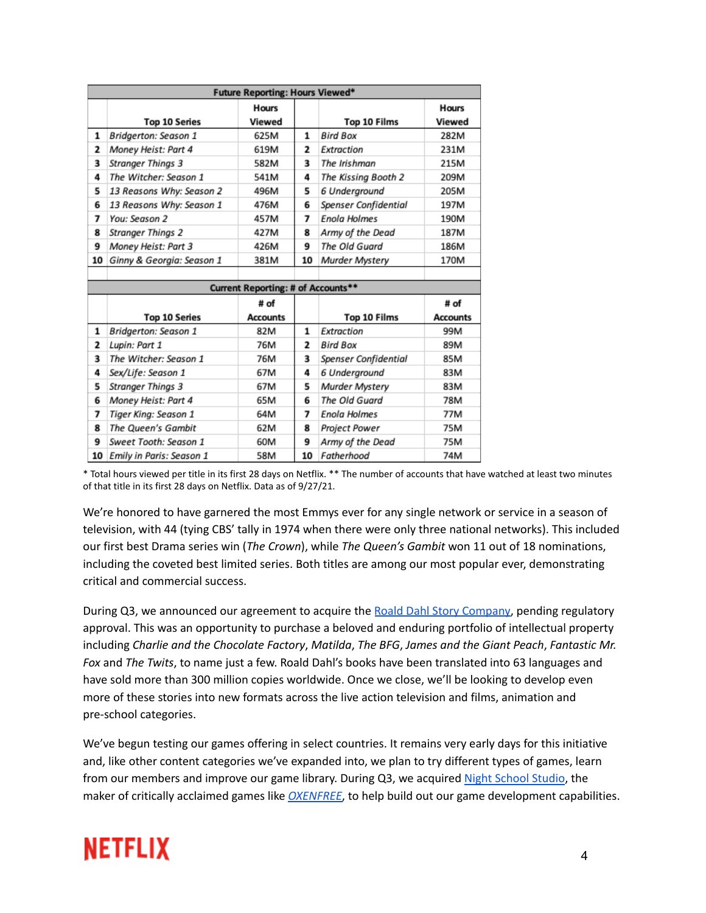| <b>Future Reporting: Hours Viewed*</b> |                           |                                    |    |                      |                        |  |  |  |  |
|----------------------------------------|---------------------------|------------------------------------|----|----------------------|------------------------|--|--|--|--|
|                                        | <b>Top 10 Series</b>      | Hours<br>Viewed                    |    | Top 10 Films         | <b>Hours</b><br>Viewed |  |  |  |  |
| 1                                      | Bridgerton: Season 1      | 625M                               | 1  | Bird Box             | 282M                   |  |  |  |  |
| 2                                      | Money Heist: Part 4       | 619M                               | 2  | Extraction           | 231M                   |  |  |  |  |
| 3                                      | <b>Stranger Things 3</b>  | 582M                               | 3  | The Irishman         | 215M                   |  |  |  |  |
| 4                                      | The Witcher: Season 1     | 541M                               | 4  | The Kissing Booth 2  | 209M                   |  |  |  |  |
| 5                                      | 13 Reasons Why: Season 2  | 496M                               | 5  | 6 Underground        | 205M                   |  |  |  |  |
| 6                                      | 13 Reasons Why: Season 1  | 476M                               | 6  | Spenser Confidential | 197M                   |  |  |  |  |
| 7                                      | You: Season 2             | 457M                               | 7  | Enola Holmes         | 190M                   |  |  |  |  |
| 8                                      | <b>Stranger Things 2</b>  | 427M                               | 8  | Army of the Dead     | 187M                   |  |  |  |  |
| 9                                      | Money Heist: Part 3       | 426M                               | 9  | The Old Guard        | 186M                   |  |  |  |  |
| 10                                     | Ginny & Georgia: Season 1 | 381M                               | 10 | Murder Mystery       | 170M                   |  |  |  |  |
|                                        |                           | Current Reporting: # of Accounts** |    |                      |                        |  |  |  |  |

|   |                             | # of            |    |                      |                 |  |  |  |  |  |  |  |  |
|---|-----------------------------|-----------------|----|----------------------|-----------------|--|--|--|--|--|--|--|--|
|   | <b>Top 10 Series</b>        | <b>Accounts</b> |    | Top 10 Films         | <b>Accounts</b> |  |  |  |  |  |  |  |  |
| 1 | Bridgerton: Season 1        | 82M             | 1  | Extraction           | 99M             |  |  |  |  |  |  |  |  |
| 2 | Lupin: Part 1               | 76M             | 2  | <b>Bird Box</b>      | 89M             |  |  |  |  |  |  |  |  |
| 3 | The Witcher: Season 1       | 76M             | 3  | Spenser Confidential | 85M             |  |  |  |  |  |  |  |  |
| 4 | Sex/Life: Season 1          | 67M             | 4  | 6 Underground        | 83M             |  |  |  |  |  |  |  |  |
| 5 | <b>Stranger Things 3</b>    | 67M             | 5  | Murder Mystery       | 83M             |  |  |  |  |  |  |  |  |
| 6 | Money Heist: Part 4         | 65M             | 6  | The Old Guard        | 78M             |  |  |  |  |  |  |  |  |
| 7 | Tiger King: Season 1        | 64M             | 7  | <b>Enola Holmes</b>  | 77M             |  |  |  |  |  |  |  |  |
| 8 | The Queen's Gambit          | 62M             | 8  | Project Power        | 75M             |  |  |  |  |  |  |  |  |
| 9 | Sweet Tooth: Season 1       | 60M             | 9  | Army of the Dead     | 75M             |  |  |  |  |  |  |  |  |
|   | 10 Emily in Paris: Season 1 | 58M             | 10 | Fatherhood           | 74M             |  |  |  |  |  |  |  |  |

\* Total hours viewed per title in its first 28 days on Netflix. \*\* The number of accounts that have watched at least two minutes of that title in its first 28 days on Netflix. Data as of 9/27/21.

We're honored to have garnered the most Emmys ever for any single network or service in a season of television, with 44 (tying CBS' tally in 1974 when there were only three national networks). This included our first best Drama series win (*The Crown*), while *The Queen's Gambit* won 11 out of 18 nominations, including the coveted best limited series. Both titles are among our most popular ever, demonstrating critical and commercial success.

During Q3, we announced our agreement to acquire the Roald Dahl Story [Company,](https://about.netflix.com/en/news/netflix-acquires-iconic-roald-dahl-story-company) pending regulatory approval. This was an opportunity to purchase a beloved and enduring portfolio of intellectual property including *Charlie and the Chocolate Factory*, *Matilda*, *The BFG*, *James and the Giant Peach*, *Fantastic Mr. Fox* and *The Twits*, to name just a few. Roald Dahl's books have been translated into 63 languages and have sold more than 300 million copies worldwide. Once we close, we'll be looking to develop even more of these stories into new formats across the live action television and films, animation and pre-school categories.

We've begun testing our games offering in select countries. It remains very early days for this initiative and, like other content categories we've expanded into, we plan to try different types of games, learn from our members and improve our game library. During Q3, we acquired Night [School](https://about.netflix.com/en/news/expanding-our-games-team-with-the-acquisition-of-night-school-studio) Studio, the maker of critically acclaimed games like *[OXENFREE](https://www.youtube.com/watch?v=NAhrOoNR4ng)*, to help build out our game development capabilities.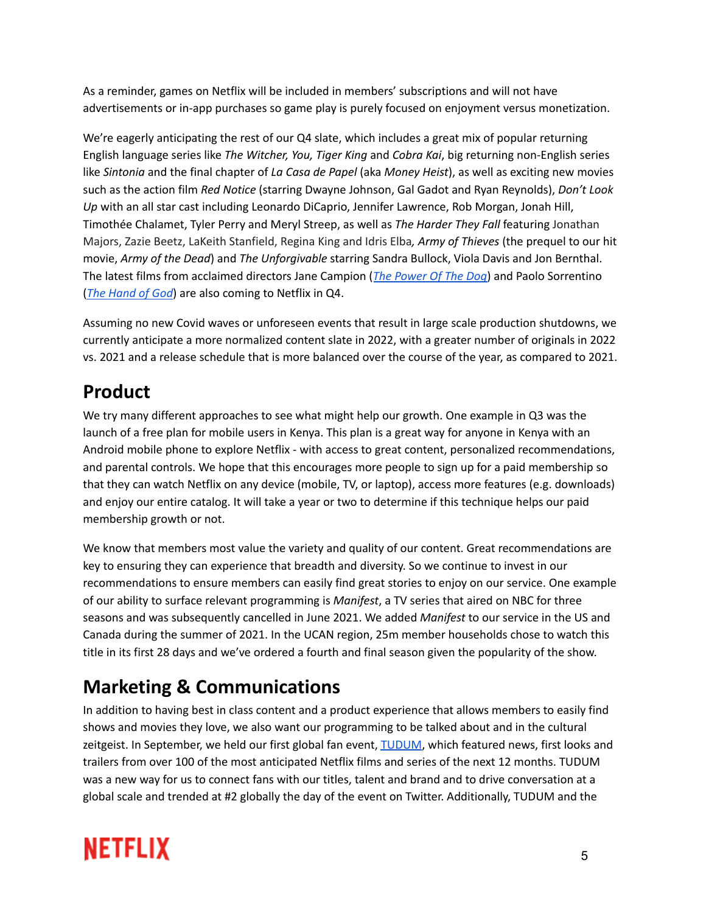As a reminder, games on Netflix will be included in members' subscriptions and will not have advertisements or in-app purchases so game play is purely focused on enjoyment versus monetization.

We're eagerly anticipating the rest of our Q4 slate, which includes a great mix of popular returning English language series like *The Witcher, You, Tiger King* and *Cobra Kai*, big returning non-English series like *Sintonia* and the final chapter of *La Casa de Papel* (aka *Money Heist*), as well as exciting new movies such as the action film *Red Notice* (starring Dwayne Johnson, Gal Gadot and Ryan Reynolds), *Don't Look Up* with an all star cast including Leonardo DiCaprio, Jennifer Lawrence, Rob Morgan, Jonah Hill, Timothée Chalamet, Tyler Perry and Meryl Streep, as well as *The Harder They Fall* featuring Jonathan Majors, Zazie Beetz, LaKeith Stanfield, Regina King and Idris Elba*, Army of Thieves* (the prequel to our hit movie, *Army of the Dead*) and *The Unforgivable* starring Sandra Bullock, Viola Davis and Jon Bernthal. The latest films from acclaimed directors Jane Campion (*The [Power](https://www.youtube.com/watch?v=ELvKuuXdfCU) Of The Dog*) and Paolo Sorrentino (*The [Hand](https://www.youtube.com/watch?v=CFUVnhUsNws) of God*) are also coming to Netflix in Q4.

Assuming no new Covid waves or unforeseen events that result in large scale production shutdowns, we currently anticipate a more normalized content slate in 2022, with a greater number of originals in 2022 vs. 2021 and a release schedule that is more balanced over the course of the year, as compared to 2021.

### **Product**

We try many different approaches to see what might help our growth. One example in Q3 was the launch of a free plan for mobile users in Kenya. This plan is a great way for anyone in Kenya with an Android mobile phone to explore Netflix - with access to great content, personalized recommendations, and parental controls. We hope that this encourages more people to sign up for a paid membership so that they can watch Netflix on any device (mobile, TV, or laptop), access more features (e.g. downloads) and enjoy our entire catalog. It will take a year or two to determine if this technique helps our paid membership growth or not.

We know that members most value the variety and quality of our content. Great recommendations are key to ensuring they can experience that breadth and diversity. So we continue to invest in our recommendations to ensure members can easily find great stories to enjoy on our service. One example of our ability to surface relevant programming is *Manifest*, a TV series that aired on NBC for three seasons and was subsequently cancelled in June 2021. We added *Manifest* to our service in the US and Canada during the summer of 2021. In the UCAN region, 25m member households chose to watch this title in its first 28 days and we've ordered a fourth and final season given the popularity of the show.

### **Marketing & Communications**

In addition to having best in class content and a product experience that allows members to easily find shows and movies they love, we also want our programming to be talked about and in the cultural zeitgeist. In September, we held our first global fan event, [TUDUM](https://about.netflix.com/en/news/tudum-recap-everything-you-missed-from-our-first-ever-global-fan-event), which featured news, first looks and trailers from over 100 of the most anticipated Netflix films and series of the next 12 months. TUDUM was a new way for us to connect fans with our titles, talent and brand and to drive conversation at a global scale and trended at #2 globally the day of the event on Twitter. Additionally, TUDUM and the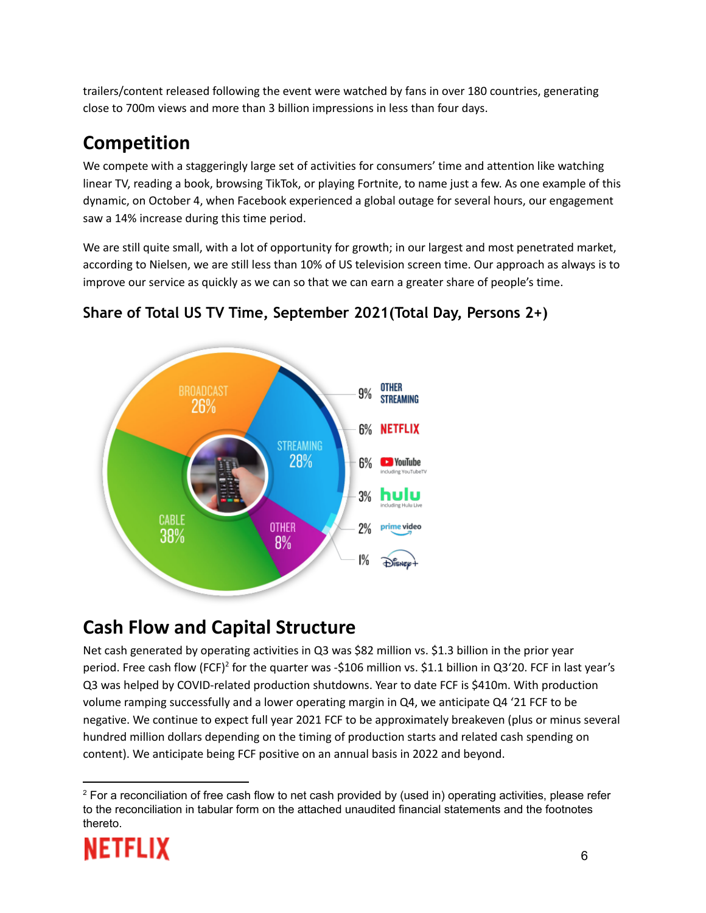trailers/content released following the event were watched by fans in over 180 countries, generating close to 700m views and more than 3 billion impressions in less than four days.

### **Competition**

We compete with a staggeringly large set of activities for consumers' time and attention like watching linear TV, reading a book, browsing TikTok, or playing Fortnite, to name just a few. As one example of this dynamic, on October 4, when Facebook experienced a global outage for several hours, our engagement saw a 14% increase during this time period.

We are still quite small, with a lot of opportunity for growth; in our largest and most penetrated market, according to Nielsen, we are still less than 10% of US television screen time. Our approach as always is to improve our service as quickly as we can so that we can earn a greater share of people's time.



#### **Share of Total US TV Time, September 2021(Total Day, Persons 2+)**

### **Cash Flow and Capital Structure**

Net cash generated by operating activities in Q3 was \$82 million vs. \$1.3 billion in the prior year period. Free cash flow (FCF)<sup>2</sup> for the quarter was -\$106 million vs. \$1.1 billion in Q3'20. FCF in last year's Q3 was helped by COVID-related production shutdowns. Year to date FCF is \$410m. With production volume ramping successfully and a lower operating margin in Q4, we anticipate Q4 '21 FCF to be negative. We continue to expect full year 2021 FCF to be approximately breakeven (plus or minus several hundred million dollars depending on the timing of production starts and related cash spending on content). We anticipate being FCF positive on an annual basis in 2022 and beyond.

 $2$  For a reconciliation of free cash flow to net cash provided by (used in) operating activities, please refer to the reconciliation in tabular form on the attached unaudited financial statements and the footnotes thereto.

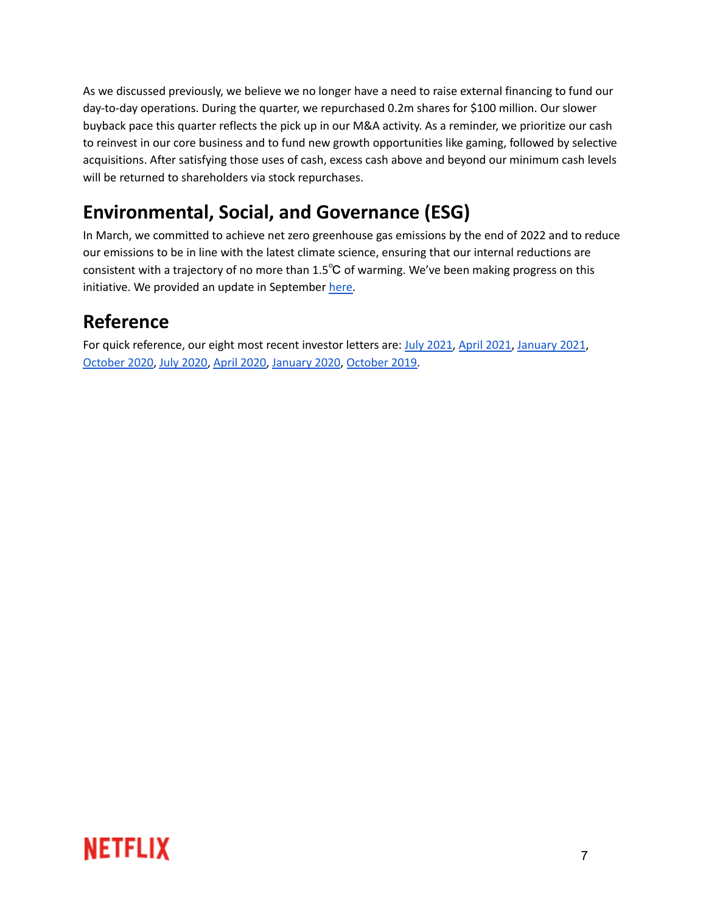As we discussed previously, we believe we no longer have a need to raise external financing to fund our day-to-day operations. During the quarter, we repurchased 0.2m shares for \$100 million. Our slower buyback pace this quarter reflects the pick up in our M&A activity. As a reminder, we prioritize our cash to reinvest in our core business and to fund new growth opportunities like gaming, followed by selective acquisitions. After satisfying those uses of cash, excess cash above and beyond our minimum cash levels will be returned to shareholders via stock repurchases.

### **Environmental, Social, and Governance (ESG)**

In March, we committed to achieve net zero greenhouse gas emissions by the end of 2022 and to reduce our emissions to be in line with the latest climate science, ensuring that our internal reductions are consistent with a trajectory of no more than 1.5℃ of warming. We've been making progress on this initiative. We provided an update in September [here.](https://about.netflix.com/en/news/netflix-in-progress-report-on-our-climate-commitments)

### **Reference**

For quick reference, our eight most recent investor letters are: July [2021,](https://s22.q4cdn.com/959853165/files/doc_financials/2021/q2/FINAL-Q2-21-Shareholder-Letter.pdf) April [2021,](https://s22.q4cdn.com/959853165/files/doc_financials/2021/q1/FINAL-Q1-21-Shareholder-Letter.pdf) [January](https://s22.q4cdn.com/959853165/files/doc_financials/2020/q4/FINAL-Q420-Shareholder-Letter.pdf) 2021, [October](https://s22.q4cdn.com/959853165/files/doc_financials/2020/q3/FINAL-Q3-20-Shareholder-Letter.pdf) 2020, July [2020,](https://s22.q4cdn.com/959853165/files/doc_financials/2020/q2/FINAL-Q2-20-Shareholder-Letter-V3-with-Tables.pdf) April [2020,](https://s22.q4cdn.com/959853165/files/doc_financials/2020/q1/updated/FINAL-Q1-20-Shareholder-Letter.pdf) [January](https://s22.q4cdn.com/959853165/files/doc_financials/2019/q4/FINAL-Q4-19-Shareholder-Letter.pdf) 2020, [October](https://s22.q4cdn.com/959853165/files/doc_financials/quarterly_reports/2019/q3/FINAL-Q3-19-Shareholder-Letter.pdf) 2019.

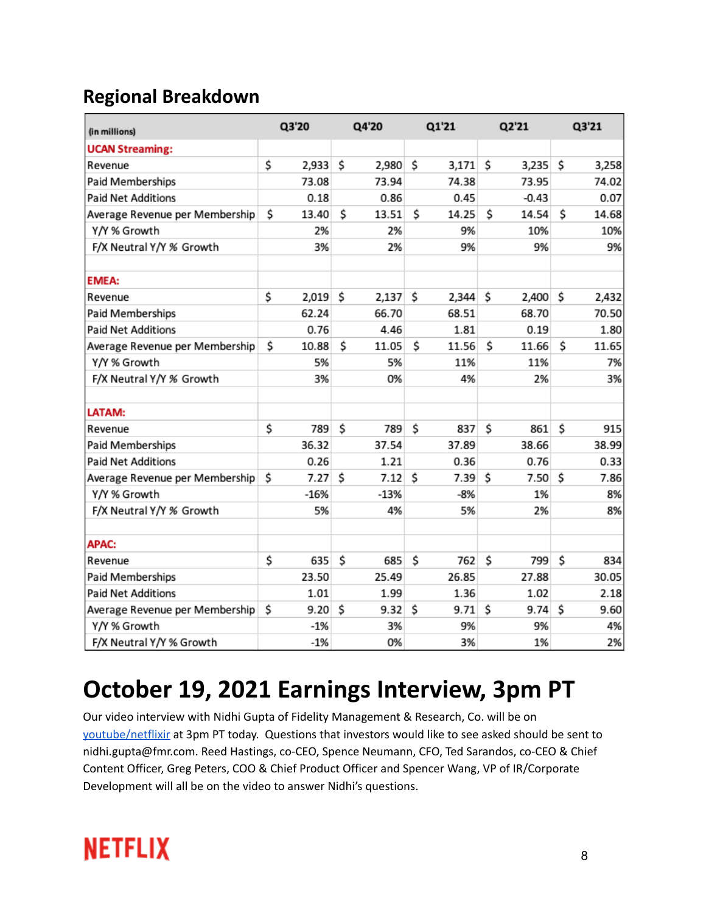### **Regional Breakdown**

| (in millions)                  |    | Q3'20  |    | Q4'20  | Q1'21 |       | Q2'21       |    | Q3'21 |
|--------------------------------|----|--------|----|--------|-------|-------|-------------|----|-------|
| <b>UCAN Streaming:</b>         |    |        |    |        |       |       |             |    |       |
| Revenue                        | \$ | 2,933  | Ś  | 2,980  | \$    | 3,171 | \$<br>3,235 | \$ | 3,258 |
| Paid Memberships               |    | 73.08  |    | 73.94  |       | 74.38 | 73.95       |    | 74.02 |
| <b>Paid Net Additions</b>      |    | 0.18   |    | 0.86   |       | 0.45  | $-0.43$     |    | 0.07  |
| Average Revenue per Membership | \$ | 13.40  | \$ | 13.51  | \$    | 14.25 | \$<br>14.54 | \$ | 14.68 |
| Y/Y % Growth                   |    | 2%     |    | 2%     |       | 9%    | 10%         |    | 10%   |
| F/X Neutral Y/Y % Growth       |    | 3%     |    | 2%     |       | 9%    | 9%          |    | 9%    |
| <b>EMEA:</b>                   |    |        |    |        |       |       |             |    |       |
| Revenue                        | \$ | 2,019  | \$ | 2,137  | \$    | 2,344 | \$<br>2,400 | \$ | 2,432 |
| Paid Memberships               |    | 62.24  |    | 66.70  |       | 68.51 | 68.70       |    | 70.50 |
| <b>Paid Net Additions</b>      |    | 0.76   |    | 4.46   |       | 1.81  | 0.19        |    | 1.80  |
| Average Revenue per Membership | Ś  | 10.88  | Ś  | 11.05  | \$    | 11.56 | \$<br>11.66 | \$ | 11.65 |
| Y/Y % Growth                   |    | 5%     |    | 5%     |       | 11%   | 11%         |    | 7%    |
| F/X Neutral Y/Y % Growth       |    | 3%     |    | 0%     |       | 4%    | 2%          |    | 3%    |
| LATAM:                         |    |        |    |        |       |       |             |    |       |
| Revenue                        | \$ | 789    | Ś  | 789    | Ś     | 837   | \$<br>861   | Ś  | 915   |
| Paid Memberships               |    | 36.32  |    | 37.54  |       | 37.89 | 38.66       |    | 38.99 |
| <b>Paid Net Additions</b>      |    | 0.26   |    | 1.21   |       | 0.36  | 0.76        |    | 0.33  |
| Average Revenue per Membership | \$ | 7.27   | \$ | 7.12   | \$    | 7.39  | \$<br>7.50  | \$ | 7.86  |
| Y/Y % Growth                   |    | $-16%$ |    | $-13%$ |       | $-8%$ | 1%          |    | 8%    |
| F/X Neutral Y/Y % Growth       |    | 5%     |    | 4%     |       | 5%    | 2%          |    | 8%    |
| <b>APAC:</b>                   |    |        |    |        |       |       |             |    |       |
| Revenue                        | \$ | 635    | \$ | 685    | \$    | 762   | \$<br>799   | \$ | 834   |
| Paid Memberships               |    | 23.50  |    | 25.49  |       | 26.85 | 27.88       |    | 30.05 |
| <b>Paid Net Additions</b>      |    | 1.01   |    | 1.99   |       | 1.36  | 1.02        |    | 2.18  |
| Average Revenue per Membership | \$ | 9.20   | \$ | 9.32   | \$    | 9.71  | \$<br>9.74  | \$ | 9.60  |
| Y/Y % Growth                   |    | $-1%$  |    | 3%     |       | 9%    | 9%          |    | 4%    |
| F/X Neutral Y/Y % Growth       |    | $-1%$  |    | 0%     |       | 3%    | 1%          |    | 2%    |

## **October 19, 2021 Earnings Interview, 3pm PT**

Our video interview with Nidhi Gupta of Fidelity Management & Research, Co. will be on [youtube/netflixir](https://www.youtube.com/netflixir) at 3pm PT today. Questions that investors would like to see asked should be sent to nidhi.gupta@fmr.com. Reed Hastings, co-CEO, Spence Neumann, CFO, Ted Sarandos, co-CEO & Chief Content Officer, Greg Peters, COO & Chief Product Officer and Spencer Wang, VP of IR/Corporate Development will all be on the video to answer Nidhi's questions.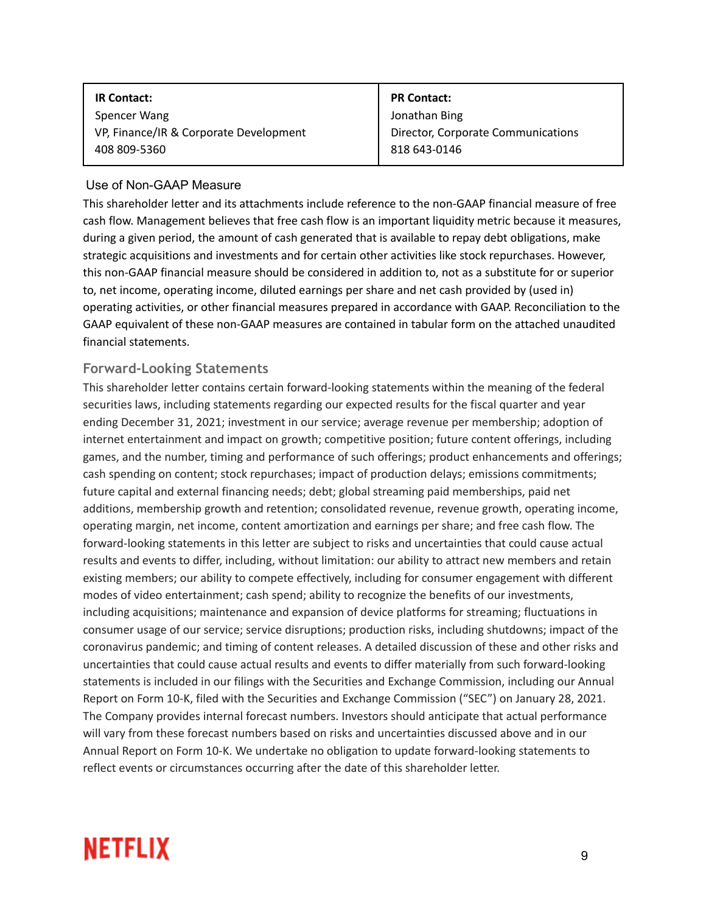| <b>PR Contact:</b>                 |
|------------------------------------|
| Jonathan Bing                      |
| Director, Corporate Communications |
| 818 643-0146                       |
|                                    |

#### Use of Non-GAAP Measure

This shareholder letter and its attachments include reference to the non-GAAP financial measure of free cash flow. Management believes that free cash flow is an important liquidity metric because it measures, during a given period, the amount of cash generated that is available to repay debt obligations, make strategic acquisitions and investments and for certain other activities like stock repurchases. However, this non-GAAP financial measure should be considered in addition to, not as a substitute for or superior to, net income, operating income, diluted earnings per share and net cash provided by (used in) operating activities, or other financial measures prepared in accordance with GAAP. Reconciliation to the GAAP equivalent of these non-GAAP measures are contained in tabular form on the attached unaudited financial statements.

#### **Forward-Looking Statements**

This shareholder letter contains certain forward-looking statements within the meaning of the federal securities laws, including statements regarding our expected results for the fiscal quarter and year ending December 31, 2021; investment in our service; average revenue per membership; adoption of internet entertainment and impact on growth; competitive position; future content offerings, including games, and the number, timing and performance of such offerings; product enhancements and offerings; cash spending on content; stock repurchases; impact of production delays; emissions commitments; future capital and external financing needs; debt; global streaming paid memberships, paid net additions, membership growth and retention; consolidated revenue, revenue growth, operating income, operating margin, net income, content amortization and earnings per share; and free cash flow. The forward-looking statements in this letter are subject to risks and uncertainties that could cause actual results and events to differ, including, without limitation: our ability to attract new members and retain existing members; our ability to compete effectively, including for consumer engagement with different modes of video entertainment; cash spend; ability to recognize the benefits of our investments, including acquisitions; maintenance and expansion of device platforms for streaming; fluctuations in consumer usage of our service; service disruptions; production risks, including shutdowns; impact of the coronavirus pandemic; and timing of content releases. A detailed discussion of these and other risks and uncertainties that could cause actual results and events to differ materially from such forward-looking statements is included in our filings with the Securities and Exchange Commission, including our Annual Report on Form 10-K, filed with the Securities and Exchange Commission ("SEC") on January 28, 2021. The Company provides internal forecast numbers. Investors should anticipate that actual performance will vary from these forecast numbers based on risks and uncertainties discussed above and in our Annual Report on Form 10-K. We undertake no obligation to update forward-looking statements to reflect events or circumstances occurring after the date of this shareholder letter.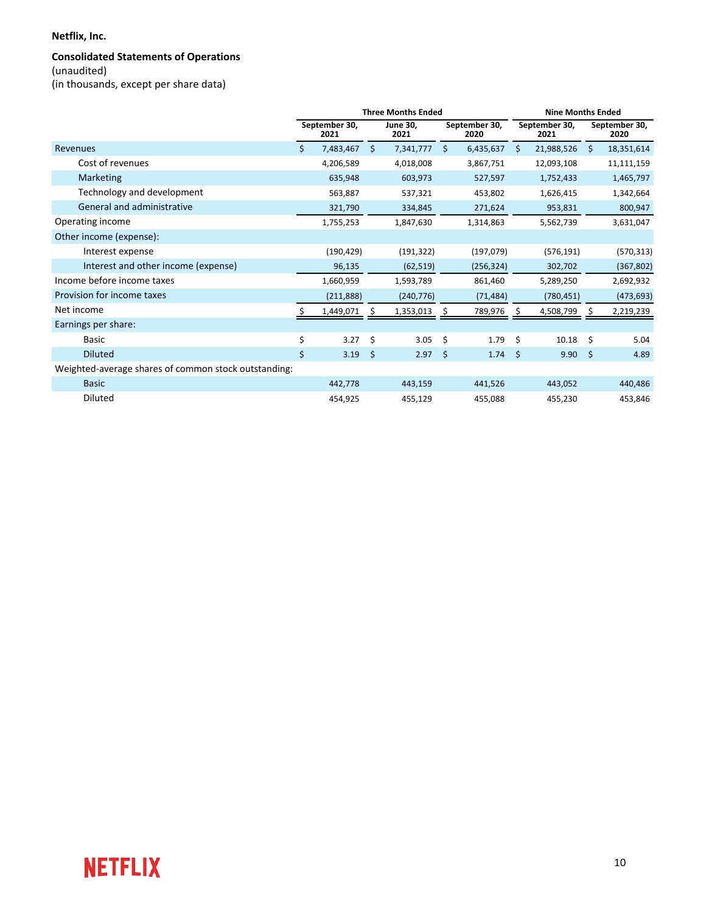#### **Netflix, Inc.**

#### **Consolidated Statements of Operations**

(unaudited) 

(in thousands, except per share data)

|                                                      |    |                       |         | <b>Three Months Ended</b> | <b>Nine Months Ended</b> |                       |      |                       |         |                       |
|------------------------------------------------------|----|-----------------------|---------|---------------------------|--------------------------|-----------------------|------|-----------------------|---------|-----------------------|
|                                                      |    | September 30,<br>2021 |         | <b>June 30.</b><br>2021   |                          | September 30,<br>2020 |      | September 30,<br>2021 |         | September 30,<br>2020 |
| Revenues                                             | Ŝ. | 7,483,467             | $\zeta$ | 7,341,777                 | Ŝ.                       | 6,435,637             | \$   | 21,988,526            | Ŝ.      | 18,351,614            |
| Cost of revenues                                     |    | 4,206,589             |         | 4,018,008                 |                          | 3,867,751             |      | 12,093,108            |         | 11,111,159            |
| <b>Marketing</b>                                     |    | 635,948               |         | 603,973                   |                          | 527,597               |      | 1,752,433             |         | 1,465,797             |
| Technology and development                           |    | 563,887               |         | 537,321                   |                          | 453,802               |      | 1,626,415             |         | 1,342,664             |
| General and administrative                           |    | 321,790               |         | 334,845                   |                          | 271,624               |      | 953,831               |         | 800,947               |
| Operating income                                     |    | 1,755,253             |         | 1,847,630                 |                          | 1,314,863             |      | 5,562,739             |         | 3,631,047             |
| Other income (expense):                              |    |                       |         |                           |                          |                       |      |                       |         |                       |
| Interest expense                                     |    | (190, 429)            |         | (191, 322)                |                          | (197, 079)            |      | (576, 191)            |         | (570, 313)            |
| Interest and other income (expense)                  |    | 96,135                |         | (62, 519)                 |                          | (256, 324)            |      | 302,702               |         | (367, 802)            |
| Income before income taxes                           |    | 1,660,959             |         | 1,593,789                 |                          | 861,460               |      | 5,289,250             |         | 2,692,932             |
| Provision for income taxes                           |    | (211,888)             |         | (240, 776)                |                          | (71, 484)             |      | (780, 451)            |         | (473, 693)            |
| Net income                                           |    | 1,449,071             |         | 1,353,013                 |                          | 789,976               |      | 4,508,799             |         | 2,219,239             |
| Earnings per share:                                  |    |                       |         |                           |                          |                       |      |                       |         |                       |
| <b>Basic</b>                                         | \$ | 3.27                  | \$      | 3.05                      | Ŝ.                       | 1.79                  | Ŝ.   | 10.18                 | Ŝ.      | 5.04                  |
| <b>Diluted</b>                                       | \$ | 3.19                  | - \$    | 2.97                      | $\zeta$                  | 1.74                  | - \$ | 9.90                  | $\zeta$ | 4.89                  |
| Weighted-average shares of common stock outstanding: |    |                       |         |                           |                          |                       |      |                       |         |                       |
| <b>Basic</b>                                         |    | 442,778               |         | 443,159                   |                          | 441,526               |      | 443,052               |         | 440,486               |
| Diluted                                              |    | 454,925               |         | 455,129                   |                          | 455,088               |      | 455,230               |         | 453,846               |

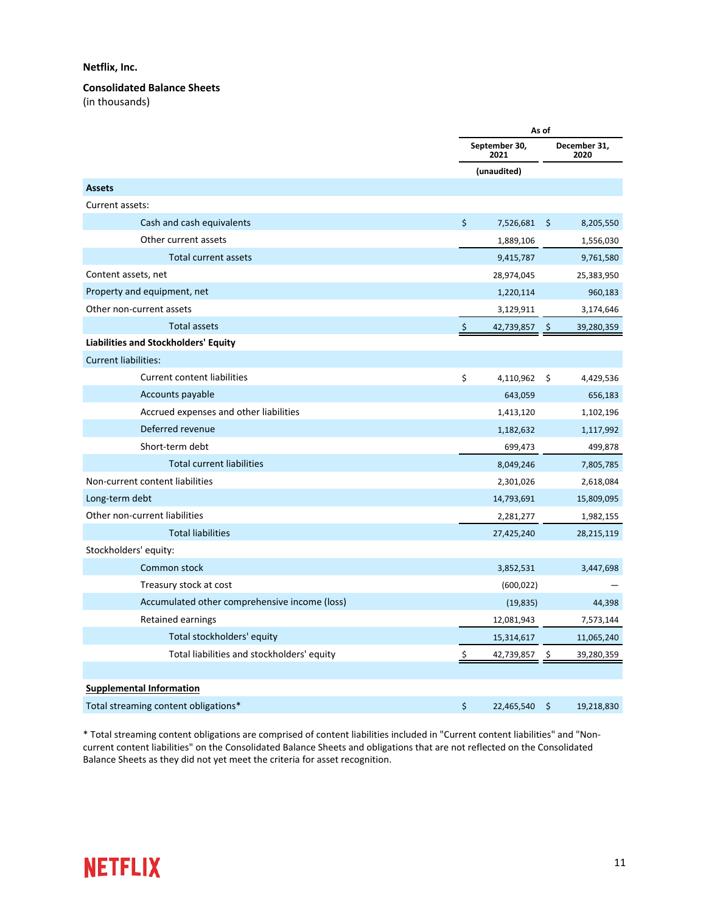#### **Netflix, Inc.**

**Consolidated Balance Sheets** 

(in thousands)

|                                               | As of   |                       |         |                      |
|-----------------------------------------------|---------|-----------------------|---------|----------------------|
|                                               |         | September 30,<br>2021 |         | December 31,<br>2020 |
|                                               |         | (unaudited)           |         |                      |
| <b>Assets</b>                                 |         |                       |         |                      |
| Current assets:                               |         |                       |         |                      |
| Cash and cash equivalents                     | $\zeta$ | 7,526,681             | $\zeta$ | 8,205,550            |
| Other current assets                          |         | 1,889,106             |         | 1,556,030            |
| <b>Total current assets</b>                   |         | 9,415,787             |         | 9,761,580            |
| Content assets, net                           |         | 28,974,045            |         | 25,383,950           |
| Property and equipment, net                   |         | 1,220,114             |         | 960,183              |
| Other non-current assets                      |         | 3,129,911             |         | 3,174,646            |
| <b>Total assets</b>                           | $\zeta$ | 42,739,857            | \$.     | 39,280,359           |
| Liabilities and Stockholders' Equity          |         |                       |         |                      |
| <b>Current liabilities:</b>                   |         |                       |         |                      |
| <b>Current content liabilities</b>            | \$      | 4,110,962             | \$      | 4,429,536            |
| Accounts payable                              |         | 643,059               |         | 656,183              |
| Accrued expenses and other liabilities        |         | 1,413,120             |         | 1,102,196            |
| Deferred revenue                              |         | 1,182,632             |         | 1,117,992            |
| Short-term debt                               |         | 699,473               |         | 499,878              |
| <b>Total current liabilities</b>              |         | 8,049,246             |         | 7,805,785            |
| Non-current content liabilities               |         | 2,301,026             |         | 2,618,084            |
| Long-term debt                                |         | 14,793,691            |         | 15,809,095           |
| Other non-current liabilities                 |         | 2,281,277             |         | 1,982,155            |
| <b>Total liabilities</b>                      |         | 27,425,240            |         | 28,215,119           |
| Stockholders' equity:                         |         |                       |         |                      |
| Common stock                                  |         | 3,852,531             |         | 3,447,698            |
| Treasury stock at cost                        |         | (600, 022)            |         |                      |
| Accumulated other comprehensive income (loss) |         | (19, 835)             |         | 44,398               |
| Retained earnings                             |         | 12,081,943            |         | 7,573,144            |
| Total stockholders' equity                    |         | 15,314,617            |         | 11,065,240           |
| Total liabilities and stockholders' equity    | \$      | 42,739,857            | S.      | 39,280,359           |
|                                               |         |                       |         |                      |
| <b>Supplemental Information</b>               |         |                       |         |                      |
| Total streaming content obligations*          | \$      | 22,465,540            | \$      | 19,218,830           |

\* Total streaming content obligations are comprised of content liabilities included in "Current content liabilities" and "Noncurrent content liabilities" on the Consolidated Balance Sheets and obligations that are not reflected on the Consolidated Balance Sheets as they did not yet meet the criteria for asset recognition.